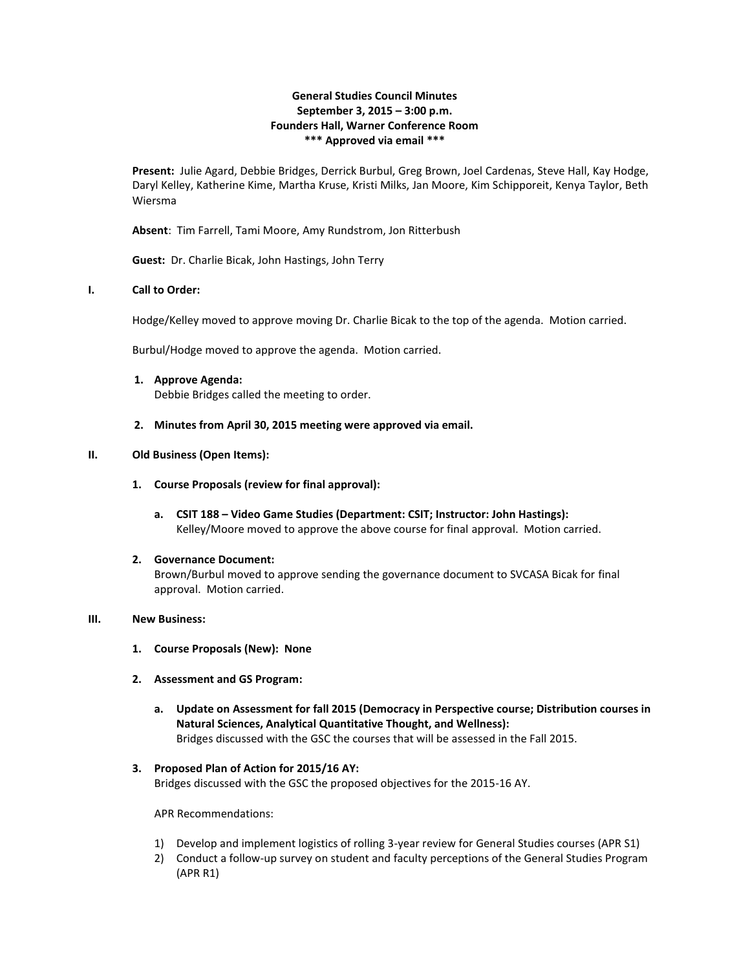# **General Studies Council Minutes September 3, 2015 – 3:00 p.m. Founders Hall, Warner Conference Room \*\*\* Approved via email \*\*\***

**Present:** Julie Agard, Debbie Bridges, Derrick Burbul, Greg Brown, Joel Cardenas, Steve Hall, Kay Hodge, Daryl Kelley, Katherine Kime, Martha Kruse, Kristi Milks, Jan Moore, Kim Schipporeit, Kenya Taylor, Beth Wiersma

**Absent**: Tim Farrell, Tami Moore, Amy Rundstrom, Jon Ritterbush

**Guest:** Dr. Charlie Bicak, John Hastings, John Terry

# **I. Call to Order:**

Hodge/Kelley moved to approve moving Dr. Charlie Bicak to the top of the agenda. Motion carried.

Burbul/Hodge moved to approve the agenda. Motion carried.

- **1. Approve Agenda:** Debbie Bridges called the meeting to order.
- **2. Minutes from April 30, 2015 meeting were approved via email.**

## **II. Old Business (Open Items):**

- **1. Course Proposals (review for final approval):**
	- **a. CSIT 188 – Video Game Studies (Department: CSIT; Instructor: John Hastings):** Kelley/Moore moved to approve the above course for final approval. Motion carried.

#### **2. Governance Document:**

Brown/Burbul moved to approve sending the governance document to SVCASA Bicak for final approval. Motion carried.

# **III. New Business:**

- **1. Course Proposals (New): None**
- **2. Assessment and GS Program:**
	- **a. Update on Assessment for fall 2015 (Democracy in Perspective course; Distribution courses in Natural Sciences, Analytical Quantitative Thought, and Wellness):** Bridges discussed with the GSC the courses that will be assessed in the Fall 2015.

### **3. Proposed Plan of Action for 2015/16 AY:**

Bridges discussed with the GSC the proposed objectives for the 2015-16 AY.

APR Recommendations:

- 1) Develop and implement logistics of rolling 3-year review for General Studies courses (APR S1)
- 2) Conduct a follow-up survey on student and faculty perceptions of the General Studies Program (APR R1)